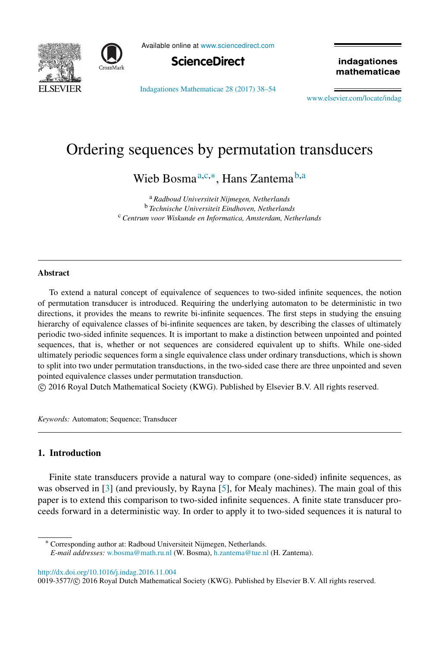



Available online at [www.sciencedirect.com](http://www.elsevier.com/locate/indag)



[Indagationes Mathematicae 28 \(2017\) 38–54](http://dx.doi.org/10.1016/j.indag.2016.11.004)

indagationes mathematicae

[www.elsevier.com/locate/indag](http://www.elsevier.com/locate/indag)

# Ordering sequences by permutation transducers

<span id="page-0-0"></span>Wieb Bosma<sup>[a,](#page-0-0)[c,](#page-0-1)[∗](#page-0-2)</sup>, Hans Zantema<sup>[b,](#page-0-3)[a](#page-0-0)</sup>

<span id="page-0-3"></span><span id="page-0-1"></span><sup>a</sup> *Radboud Universiteit Nijmegen, Netherlands* <sup>b</sup> *Technische Universiteit Eindhoven, Netherlands* <sup>c</sup> *Centrum voor Wiskunde en Informatica, Amsterdam, Netherlands*

## Abstract

To extend a natural concept of equivalence of sequences to two-sided infinite sequences, the notion of permutation transducer is introduced. Requiring the underlying automaton to be deterministic in two directions, it provides the means to rewrite bi-infinite sequences. The first steps in studying the ensuing hierarchy of equivalence classes of bi-infinite sequences are taken, by describing the classes of ultimately periodic two-sided infinite sequences. It is important to make a distinction between unpointed and pointed sequences, that is, whether or not sequences are considered equivalent up to shifts. While one-sided ultimately periodic sequences form a single equivalence class under ordinary transductions, which is shown to split into two under permutation transductions, in the two-sided case there are three unpointed and seven pointed equivalence classes under permutation transduction.

⃝c 2016 Royal Dutch Mathematical Society (KWG). Published by Elsevier B.V. All rights reserved.

*Keywords:* Automaton; Sequence; Transducer

# 1. Introduction

Finite state transducers provide a natural way to compare (one-sided) infinite sequences, as was observed in [\[3\]](#page-16-0) (and previously, by Rayna [\[5\]](#page-16-1), for Mealy machines). The main goal of this paper is to extend this comparison to two-sided infinite sequences. A finite state transducer proceeds forward in a deterministic way. In order to apply it to two-sided sequences it is natural to

<span id="page-0-2"></span><sup>∗</sup> Corresponding author at: Radboud Universiteit Nijmegen, Netherlands.

<http://dx.doi.org/10.1016/j.indag.2016.11.004>

*E-mail addresses:* [w.bosma@math.ru.nl](mailto:w.bosma@math.ru.nl) (W. Bosma), [h.zantema@tue.nl](mailto:h.zantema@tue.nl) (H. Zantema).

<sup>0019-3577/© 2016</sup> Royal Dutch Mathematical Society (KWG). Published by Elsevier B.V. All rights reserved.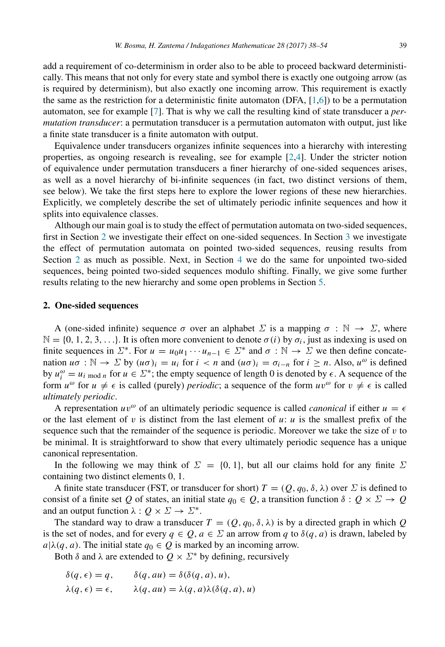add a requirement of co-determinism in order also to be able to proceed backward deterministically. This means that not only for every state and symbol there is exactly one outgoing arrow (as is required by determinism), but also exactly one incoming arrow. This requirement is exactly the same as the restriction for a deterministic finite automaton (DFA,  $[1,6]$  $[1,6]$ ) to be a permutation automaton, see for example [\[7\]](#page-16-4). That is why we call the resulting kind of state transducer a *permutation transducer*: a permutation transducer is a permutation automaton with output, just like a finite state transducer is a finite automaton with output.

Equivalence under transducers organizes infinite sequences into a hierarchy with interesting properties, as ongoing research is revealing, see for example [\[2](#page-16-5)[,4\]](#page-16-6). Under the stricter notion of equivalence under permutation transducers a finer hierarchy of one-sided sequences arises, as well as a novel hierarchy of bi-infinite sequences (in fact, two distinct versions of them, see below). We take the first steps here to explore the lower regions of these new hierarchies. Explicitly, we completely describe the set of ultimately periodic infinite sequences and how it splits into equivalence classes.

Although our main goal is to study the effect of permutation automata on two-sided sequences, first in Section [2](#page-1-0) we investigate their effect on one-sided sequences. In Section [3](#page-4-0) we investigate the effect of permutation automata on pointed two-sided sequences, reusing results from Section [2](#page-1-0) as much as possible. Next, in Section [4](#page-10-0) we do the same for unpointed two-sided sequences, being pointed two-sided sequences modulo shifting. Finally, we give some further results relating to the new hierarchy and some open problems in Section [5.](#page-11-0)

#### <span id="page-1-0"></span>2. One-sided sequences

A (one-sided infinite) sequence  $\sigma$  over an alphabet  $\Sigma$  is a mapping  $\sigma : \mathbb{N} \to \Sigma$ , where  $\mathbb{N} = \{0, 1, 2, 3, \ldots\}$ . It is often more convenient to denote  $\sigma(i)$  by  $\sigma_i$ , just as indexing is used on finite sequences in  $\Sigma^*$ . For  $u = u_0u_1 \cdots u_{n-1} \in \Sigma^*$  and  $\sigma : \mathbb{N} \to \Sigma$  we then define concatenation  $u\sigma : \mathbb{N} \to \Sigma$  by  $(u\sigma)_i = u_i$  for  $i < n$  and  $(u\sigma)_i = \sigma_{i-n}$  for  $i \geq n$ . Also,  $u^\omega$  is defined by  $u_i^{\omega} = u_i$  mod *n* for  $u \in \Sigma^*$ ; the empty sequence of length 0 is denoted by  $\epsilon$ . A sequence of the form  $u^{\omega}$  for  $u \neq \epsilon$  is called (purely) *periodic*; a sequence of the form  $uv^{\omega}$  for  $v \neq \epsilon$  is called *ultimately periodic*.

A representation  $uv^{\omega}$  of an ultimately periodic sequence is called *canonical* if either  $u = \epsilon$ or the last element of  $v$  is distinct from the last element of  $u: u$  is the smallest prefix of the sequence such that the remainder of the sequence is periodic. Moreover we take the size of  $v$  to be minimal. It is straightforward to show that every ultimately periodic sequence has a unique canonical representation.

In the following we may think of  $\Sigma = \{0, 1\}$ , but all our claims hold for any finite  $\Sigma$ containing two distinct elements 0, 1.

A finite state transducer (FST, or transducer for short)  $T = (Q, q_0, \delta, \lambda)$  over  $\Sigma$  is defined to consist of a finite set *Q* of states, an initial state  $q_0 \in Q$ , a transition function  $\delta : Q \times \Sigma \to Q$ and an output function  $\lambda: Q \times \Sigma \to \Sigma^*$ .

The standard way to draw a transducer  $T = (Q, q_0, \delta, \lambda)$  is by a directed graph in which Q is the set of nodes, and for every  $q \in Q$ ,  $a \in \Sigma$  an arrow from *q* to  $\delta(q, a)$  is drawn, labeled by  $a|\lambda(q, a)$ . The initial state  $q_0 \in Q$  is marked by an incoming arrow.

Both  $\delta$  and  $\lambda$  are extended to  $Q \times \Sigma^*$  by defining, recursively

$$
\begin{aligned}\n\delta(q,\epsilon) &= q, & \quad \delta(q, au) &= \delta(\delta(q, a), u), \\
\lambda(q,\epsilon) &= \epsilon, & \quad \lambda(q, au) &= \lambda(q, a)\lambda(\delta(q, a), u)\n\end{aligned}
$$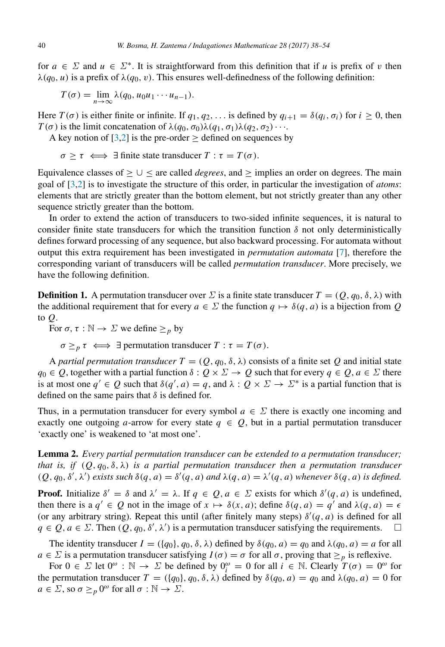for  $a \in \Sigma$  and  $u \in \Sigma^*$ . It is straightforward from this definition that if *u* is prefix of *v* then  $\lambda(q_0, u)$  is a prefix of  $\lambda(q_0, v)$ . This ensures well-definedness of the following definition:

$$
T(\sigma) = \lim_{n \to \infty} \lambda(q_0, u_0 u_1 \cdots u_{n-1}).
$$

Here  $T(\sigma)$  is either finite or infinite. If  $q_1, q_2, \ldots$  is defined by  $q_{i+1} = \delta(q_i, \sigma_i)$  for  $i \ge 0$ , then  $T(\sigma)$  is the limit concatenation of  $\lambda(q_0, \sigma_0)\lambda(q_1, \sigma_1)\lambda(q_2, \sigma_2)\cdots$ .

A key notion of  $[3,2]$  $[3,2]$  is the pre-order > defined on sequences by

$$
\sigma \geq \tau \iff \exists \text{ finite state transducer } T : \tau = T(\sigma).
$$

Equivalence classes of  $>$   $\cup$  < are called *degrees*, and  $>$  implies an order on degrees. The main goal of [\[3,](#page-16-0)[2\]](#page-16-5) is to investigate the structure of this order, in particular the investigation of *atoms*: elements that are strictly greater than the bottom element, but not strictly greater than any other sequence strictly greater than the bottom.

In order to extend the action of transducers to two-sided infinite sequences, it is natural to consider finite state transducers for which the transition function  $\delta$  not only deterministically defines forward processing of any sequence, but also backward processing. For automata without output this extra requirement has been investigated in *permutation automata* [\[7\]](#page-16-4), therefore the corresponding variant of transducers will be called *permutation transducer*. More precisely, we have the following definition.

**Definition 1.** A permutation transducer over  $\Sigma$  is a finite state transducer  $T = (Q, q_0, \delta, \lambda)$  with the additional requirement that for every  $a \in \Sigma$  the function  $q \mapsto \delta(q, a)$  is a bijection from *Q* to *Q*.

For  $\sigma$ ,  $\tau : \mathbb{N} \to \Sigma$  we define  $\geq_p$  by

 $\sigma \geq p \tau \iff \exists$  permutation transducer  $T : \tau = T(\sigma)$ .

A *partial permutation transducer*  $T = (Q, q_0, \delta, \lambda)$  consists of a finite set Q and initial state  $q_0 \in Q$ , together with a partial function  $\delta: Q \times \Sigma \to Q$  such that for every  $q \in Q$ ,  $q \in \Sigma$  there is at most one  $q' \in Q$  such that  $\delta(q', a) = q$ , and  $\lambda : Q \times \Sigma \to \Sigma^*$  is a partial function that is defined on the same pairs that  $\delta$  is defined for.

Thus, in a permutation transducer for every symbol  $a \in \Sigma$  there is exactly one incoming and exactly one outgoing *a*-arrow for every state  $q \in Q$ , but in a partial permutation transducer 'exactly one' is weakened to 'at most one'.

<span id="page-2-0"></span>Lemma 2. *Every partial permutation transducer can be extended to a permutation transducer; that is, if*  $(Q, q_0, \delta, \lambda)$  *is a partial permutation transducer then a permutation transducer*  $(Q, q_0, \delta', \lambda')$  *exists such*  $\delta(q, a) = \delta'(q, a)$  *and*  $\lambda(q, a) = \lambda'(q, a)$  *whenever*  $\delta(q, a)$  *is defined.* 

**Proof.** Initialize  $\delta' = \delta$  and  $\lambda' = \lambda$ . If  $q \in Q$ ,  $a \in \Sigma$  exists for which  $\delta'(q, a)$  is undefined, then there is a  $q' \in Q$  not in the image of  $x \mapsto \delta(x, a)$ ; define  $\delta(q, a) = q'$  and  $\lambda(q, a) = \epsilon$ (or any arbitrary string). Repeat this until (after finitely many steps)  $\delta'(q, a)$  is defined for all  $q \in Q$ ,  $a \in \Sigma$ . Then  $(Q, q_0, \delta', \lambda')$  is a permutation transducer satisfying the requirements.  $\square$ 

The identity transducer  $I = (\{q_0\}, q_0, \delta, \lambda)$  defined by  $\delta(q_0, a) = q_0$  and  $\lambda(q_0, a) = a$  for all  $a \in \Sigma$  is a permutation transducer satisfying  $I(\sigma) = \sigma$  for all  $\sigma$ , proving that  $\geq_p$  is reflexive.

For  $0 \in \Sigma$  let  $0^{\omega}$  :  $\mathbb{N} \to \Sigma$  be defined by  $0_i^{\omega} = 0$  for all  $i \in \mathbb{N}$ . Clearly  $T(\sigma) = 0^{\omega}$  for the permutation transducer  $T = (\{q_0\}, q_0, \delta, \lambda)$  defined by  $\delta(q_0, a) = q_0$  and  $\lambda(q_0, a) = 0$  for  $a \in \Sigma$ , so  $\sigma \geq_p 0^\omega$  for all  $\sigma : \mathbb{N} \to \Sigma$ .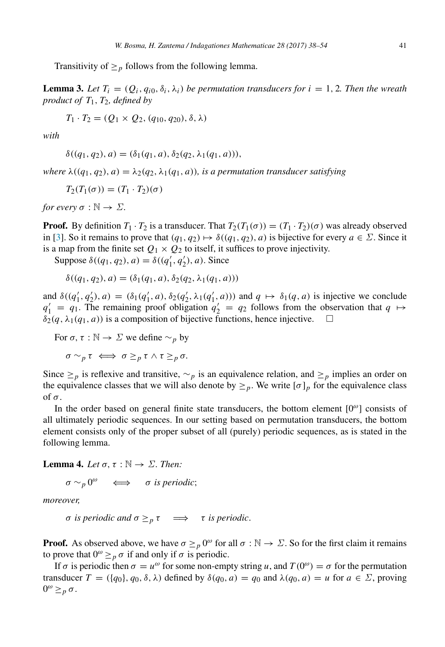<span id="page-3-1"></span>Transitivity of  $\geq_p$  follows from the following lemma.

**Lemma 3.** Let  $T_i = (Q_i, q_{i0}, \delta_i, \lambda_i)$  be permutation transducers for  $i = 1, 2$ . Then the wreath *product of T*1, *T*2*, defined by*

$$
T_1 \cdot T_2 = (Q_1 \times Q_2, (q_{10}, q_{20}), \delta, \lambda)
$$

*with*

$$
\delta((q_1, q_2), a) = (\delta_1(q_1, a), \delta_2(q_2, \lambda_1(q_1, a))),
$$

*where*  $\lambda((q_1, q_2), a) = \lambda_2(q_2, \lambda_1(q_1, a))$ *, is a permutation transducer satisfying* 

$$
T_2(T_1(\sigma)) = (T_1 \cdot T_2)(\sigma)
$$

*for every*  $\sigma : \mathbb{N} \to \Sigma$ .

**Proof.** By definition  $T_1 \cdot T_2$  is a transducer. That  $T_2(T_1(\sigma)) = (T_1 \cdot T_2)(\sigma)$  was already observed in [\[3\]](#page-16-0). So it remains to prove that  $(q_1, q_2) \mapsto \delta((q_1, q_2), a)$  is bijective for every  $a \in \Sigma$ . Since it is a map from the finite set  $Q_1 \times Q_2$  to itself, it suffices to prove injectivity.

Suppose  $\delta((q_1, q_2), a) = \delta((q'_1, q'_2), a)$ . Since

$$
\delta((q_1, q_2), a) = (\delta_1(q_1, a), \delta_2(q_2, \lambda_1(q_1, a)))
$$

and  $\delta((q'_1, q'_2), a) = (\delta_1(q'_1, a), \delta_2(q'_2, \lambda_1(q'_1, a)))$  and  $q \mapsto \delta_1(q, a)$  is injective we conclude  $q'_1 = q_1$ . The remaining proof obligation  $q'_2 = q_2$  follows from the observation that  $q \mapsto$  $\delta_2(q, \lambda_1(q_1, a))$  is a composition of bijective functions, hence injective.  $\square$ 

For  $\sigma$ ,  $\tau : \mathbb{N} \to \Sigma$  we define  $\sim_p$  by

$$
\sigma \sim_p \tau \iff \sigma \geq_p \tau \wedge \tau \geq_p \sigma.
$$

Since  $\geq_p$  is reflexive and transitive,  $\sim_p$  is an equivalence relation, and  $\geq_p$  implies an order on the equivalence classes that we will also denote by  $\geq_p$ . We write  $[\sigma]_p$  for the equivalence class of σ.

In the order based on general finite state transducers, the bottom element  $[0^\omega]$  consists of all ultimately periodic sequences. In our setting based on permutation transducers, the bottom element consists only of the proper subset of all (purely) periodic sequences, as is stated in the following lemma.

## **Lemma 4.** *Let*  $\sigma$ ,  $\tau : \mathbb{N} \to \Sigma$ *. Then:*

<span id="page-3-0"></span> $\sigma \sim_p 0^{\omega} \quad \Longleftrightarrow \quad \sigma$  *is periodic*;

*moreover,*

*σ is periodic and*  $σ ≥<sub>p</sub> τ$   $⇒$  *τ is periodic*.

**Proof.** As observed above, we have  $\sigma \geq_{p} 0^{\omega}$  for all  $\sigma : \mathbb{N} \to \Sigma$ . So for the first claim it remains to prove that  $0^{\omega} \geq_{p} \sigma$  if and only if  $\sigma$  is periodic.

If  $\sigma$  is periodic then  $\sigma = u^{\omega}$  for some non-empty string *u*, and  $T(0^{\omega}) = \sigma$  for the permutation transducer  $T = (\{q_0\}, q_0, \delta, \lambda)$  defined by  $\delta(q_0, a) = q_0$  and  $\lambda(q_0, a) = u$  for  $a \in \Sigma$ , proving 0 <sup>ω</sup> ≥*<sup>p</sup>* σ.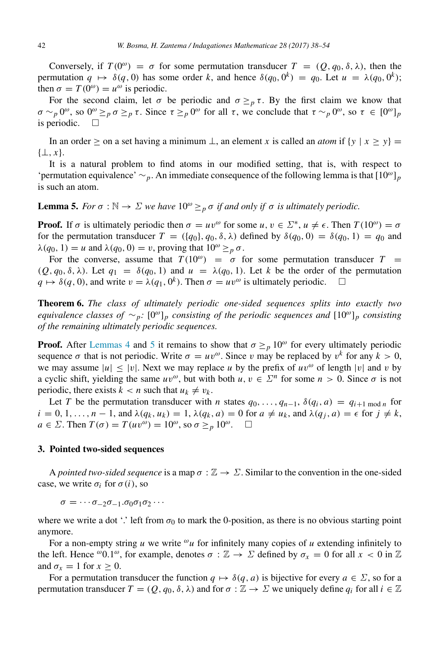Conversely, if  $T(0^{\omega}) = \sigma$  for some permutation transducer  $T = (Q, q_0, \delta, \lambda)$ , then the permutation  $q \mapsto \delta(q, 0)$  has some order k, and hence  $\delta(q_0, 0^k) = q_0$ . Let  $u = \lambda(q_0, 0^k)$ ; then  $\sigma = T(0^{\omega}) = u^{\omega}$  is periodic.

For the second claim, let  $\sigma$  be periodic and  $\sigma \geq_{p} \tau$ . By the first claim we know that  $\sigma \sim_p 0^{\omega}$ , so  $0^{\omega} \geq_p \sigma \geq_p \tau$ . Since  $\tau \geq_p 0^{\omega}$  for all  $\tau$ , we conclude that  $\tau \sim_p 0^{\omega}$ , so  $\tau \in [0^{\omega}]_p$ is periodic.  $\square$ 

In an order > on a set having a minimum  $\perp$ , an element *x* is called an *atom* if  $\{y \mid x > y\}$ {⊥, *x*}.

It is a natural problem to find atoms in our modified setting, that is, with respect to 'permutation equivalence' ∼*p*. An immediate consequence of the following lemma is that [10ω]*<sup>p</sup>* is such an atom.

# <span id="page-4-1"></span>**Lemma 5.** *For*  $\sigma : \mathbb{N} \to \Sigma$  *we have*  $10^{\omega} \geq_{p} \sigma$  *if and only if*  $\sigma$  *is ultimately periodic.*

**Proof.** If  $\sigma$  is ultimately periodic then  $\sigma = uv^{\omega}$  for some  $u, v \in \Sigma^*$ ,  $u \neq \epsilon$ . Then  $T(10^{\omega}) = \sigma$ for the permutation transducer  $T = (\{q_0\}, q_0, \delta, \lambda)$  defined by  $\delta(q_0, 0) = \delta(q_0, 1) = q_0$  and  $\lambda(q_0, 1) = u$  and  $\lambda(q_0, 0) = v$ , proving that  $10^{\omega} \geq p \sigma$ .

For the converse, assume that  $T(10^{\omega}) = \sigma$  for some permutation transducer  $T =$  $(Q, q_0, \delta, \lambda)$ . Let  $q_1 = \delta(q_0, 1)$  and  $u = \lambda(q_0, 1)$ . Let k be the order of the permutation  $q \mapsto \delta(q, 0)$ , and write  $v = \lambda(q_1, 0^k)$ . Then  $\sigma = uv^\omega$  is ultimately periodic.  $\square$ 

<span id="page-4-2"></span>Theorem 6. *The class of ultimately periodic one-sided sequences splits into exactly two equivalence classes of* ∼*p:* [0 <sup>ω</sup>]*<sup>p</sup> consisting of the periodic sequences and* [10ω]*<sup>p</sup> consisting of the remaining ultimately periodic sequences.*

**Proof.** After [Lemmas 4](#page-3-0) and [5](#page-4-1) it remains to show that  $\sigma \geq_p 10^\omega$  for every ultimately periodic sequence  $\sigma$  that is not periodic. Write  $\sigma = uv^{\omega}$ . Since v may be replaced by  $v^{k}$  for any  $k > 0$ , we may assume  $|u| \le |v|$ . Next we may replace *u* by the prefix of  $uv^{\omega}$  of length  $|v|$  and *v* by a cyclic shift, yielding the same  $uv^{\omega}$ , but with both  $u, v \in \Sigma^n$  for some  $n > 0$ . Since  $\sigma$  is not periodic, there exists  $k < n$  such that  $u_k \neq v_k$ .

Let *T* be the permutation transducer with *n* states  $q_0, \ldots, q_{n-1}, \delta(q_i, a) = q_{i+1 \mod n}$  for  $i = 0, 1, \ldots, n - 1$ , and  $\lambda(q_k, u_k) = 1$ ,  $\lambda(q_k, a) = 0$  for  $a \neq u_k$ , and  $\lambda(q_i, a) = \epsilon$  for  $j \neq k$ ,  $a \in \Sigma$ . Then  $T(\sigma) = T(uv^{\omega}) = 10^{\omega}$ , so  $\sigma \geq_{p} 10^{\omega}$ .  $\square$ 

## <span id="page-4-0"></span>3. Pointed two-sided sequences

A *pointed two-sided sequence* is a map  $\sigma : \mathbb{Z} \to \Sigma$ . Similar to the convention in the one-sided case, we write  $\sigma_i$  for  $\sigma(i)$ , so

 $\sigma = \cdots \sigma_{-2}\sigma_{-1}.\sigma_0\sigma_1\sigma_2\cdots$ 

where we write a dot '.' left from  $\sigma_0$  to mark the 0-position, as there is no obvious starting point anymore.

For a non-empty string  $u$  we write  $\omega_u$  for infinitely many copies of  $u$  extending infinitely to the left. Hence  $\omega$ 0.1 $\omega$ , for example, denotes  $\sigma : \mathbb{Z} \to \Sigma$  defined by  $\sigma_x = 0$  for all  $x < 0$  in  $\mathbb{Z}$ and  $\sigma_x = 1$  for  $x \ge 0$ .

For a permutation transducer the function  $q \mapsto \delta(q, a)$  is bijective for every  $a \in \Sigma$ , so for a permutation transducer  $T = (Q, q_0, \delta, \lambda)$  and for  $\sigma : \mathbb{Z} \to \Sigma$  we uniquely define  $q_i$  for all  $i \in \mathbb{Z}$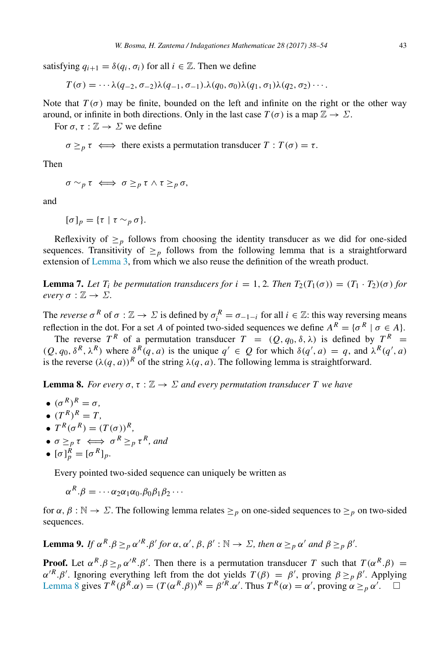satisfying  $q_{i+1} = \delta(q_i, \sigma_i)$  for all  $i \in \mathbb{Z}$ . Then we define

$$
T(\sigma) = \cdots \lambda(q_{-2}, \sigma_{-2})\lambda(q_{-1}, \sigma_{-1}) \cdot \lambda(q_0, \sigma_0)\lambda(q_1, \sigma_1)\lambda(q_2, \sigma_2)\cdots
$$

Note that  $T(\sigma)$  may be finite, bounded on the left and infinite on the right or the other way around, or infinite in both directions. Only in the last case  $T(\sigma)$  is a map  $\mathbb{Z} \to \Sigma$ .

For  $\sigma$ ,  $\tau : \mathbb{Z} \to \Sigma$  we define

 $\sigma \geq_{p} \tau \iff$  there exists a permutation transducer  $T : T(\sigma) = \tau$ .

Then

$$
\sigma \sim_p \tau \iff \sigma \geq_p \tau \wedge \tau \geq_p \sigma,
$$

and

$$
[\sigma]_p = {\tau \mid \tau \sim_p \sigma}.
$$

Reflexivity of  $\geq_p$  follows from choosing the identity transducer as we did for one-sided sequences. Transitivity of  $\geq_p$  follows from the following lemma that is a straightforward extension of [Lemma 3,](#page-3-1) from which we also reuse the definition of the wreath product.

**Lemma 7.** Let  $T_i$  be permutation transducers for  $i = 1, 2$ . Then  $T_2(T_1(\sigma)) = (T_1 \cdot T_2)(\sigma)$  for *every*  $\sigma : \mathbb{Z} \to \Sigma$ .

The *reverse*  $\sigma^R$  of  $\sigma : \mathbb{Z} \to \Sigma$  is defined by  $\sigma_i^R = \sigma_{-1-i}$  for all  $i \in \mathbb{Z}$ : this way reversing means reflection in the dot. For a set *A* of pointed two-sided sequences we define  $A^R = \{ \sigma^R \mid \sigma \in A \}.$ 

The reverse  $T^R$  of a permutation transducer  $T = (Q, q_0, \delta, \lambda)$  is defined by  $T^R =$  $(Q, q_0, \delta^R, \lambda^R)$  where  $\delta^R(q, a)$  is the unique  $q' \in Q$  for which  $\delta(q', a) = q$ , and  $\lambda^R(q', a)$ is the reverse  $(\lambda(q, a))^R$  of the string  $\lambda(q, a)$ . The following lemma is straightforward.

<span id="page-5-0"></span>**Lemma 8.** *For every*  $\sigma$ ,  $\tau : \mathbb{Z} \to \Sigma$  *and every permutation transducer* T *we have* 

- $({\sigma}^R)^R = \sigma$ ,
- $(T^R)^R = T$ ,
- $T^R(\sigma^R) = (T(\sigma))^R$ ,
- $\sigma \geq_p \tau \iff \sigma^R \geq_p \tau^R$ , and

$$
\bullet \ [\sigma]_p^R = [\sigma^R]_p.
$$

Every pointed two-sided sequence can uniquely be written as

 $\alpha^R.\beta = \cdots \alpha_2 \alpha_1 \alpha_0.\beta_0 \beta_1 \beta_2 \cdots$ 

for  $\alpha$ ,  $\beta : \mathbb{N} \to \Sigma$ . The following lemma relates  $\geq_p$  on one-sided sequences to  $\geq_p$  on two-sided sequences.

<span id="page-5-1"></span>**Lemma 9.** If  $\alpha^R \cdot \beta \geq p \alpha'^R \cdot \beta'$  for  $\alpha, \alpha', \beta, \beta' : \mathbb{N} \to \Sigma$ , then  $\alpha \geq p \alpha'$  and  $\beta \geq p \beta'$ .

**Proof.** Let  $\alpha^R \cdot \beta \geq p \alpha'^R \cdot \beta'$ . Then there is a permutation transducer *T* such that  $T(\alpha^R \cdot \beta)$  =  $\alpha'^R \cdot \beta'$ . Ignoring everything left from the dot yields  $T(\beta) = \beta'$ , proving  $\beta \geq_p \beta'$ . Applying [Lemma 8](#page-5-0) gives  $T^R(\beta^R \cdot \alpha) = (T(\alpha^R \cdot \beta))^R = \beta'^R \cdot \alpha'$ . Thus  $T^R(\alpha) = \alpha'$ , proving  $\alpha \geq_p \alpha'$ .  $\square$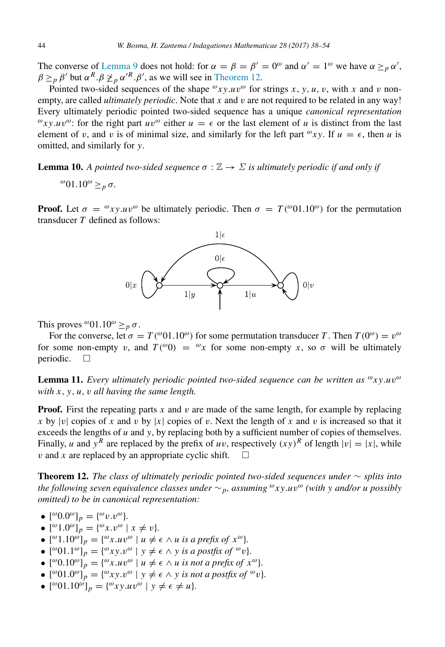The converse of [Lemma 9](#page-5-1) does not hold: for  $\alpha = \beta = \beta' = 0^{\omega}$  and  $\alpha' = 1^{\omega}$  we have  $\alpha \geq_{p} \alpha'$ ,  $\beta \geq_{p} \beta'$  but  $\alpha^{R} \cdot \beta \not\geq_{p} \alpha'^{R} \cdot \beta'$ , as we will see in [Theorem 12.](#page-6-0)

Pointed two-sided sequences of the shape  $\omega xy.uv^{\omega}$  for strings *x*, *y*, *u*, *v*, with *x* and *v* nonempty, are called *ultimately periodic*. Note that *x* and v are not required to be related in any way! Every ultimately periodic pointed two-sided sequence has a unique *canonical representation*  $\omega_{xy}.uv^{\omega}$ : for the right part  $uv^{\omega}$  either  $u = \epsilon$  or the last element of *u* is distinct from the last element of v, and v is of minimal size, and similarly for the left part  $\omega xy$ . If  $u = \epsilon$ , then u is omitted, and similarly for *y*.

**Lemma 10.** A pointed two-sided sequence  $\sigma : \mathbb{Z} \to \Sigma$  is ultimately periodic if and only if

<span id="page-6-2"></span><sup>ω</sup>01.10<sup>ω</sup> ≥<sub>*p*</sub> σ.

**Proof.** Let  $\sigma = \omega_{xy} u v^{\omega}$  be ultimately periodic. Then  $\sigma = T(\omega 01.10^{\omega})$  for the permutation transducer *T* defined as follows:



This proves  $^{\omega}01.10^{\omega} \geq p \sigma$ .

For the converse, let  $\sigma = T({}^{\omega}01.10^{\omega})$  for some permutation transducer *T*. Then  $T(0^{\omega}) = v^{\omega}$ for some non-empty v, and  $T({}^{\omega}0) = {}^{\omega}x$  for some non-empty x, so  $\sigma$  will be ultimately periodic.  $\square$ 

<span id="page-6-1"></span>Lemma 11. *Every ultimately periodic pointed two-sided sequence can be written as*  $\omega_{xy,u}$   $\omega$ *with x*, *y*, *u*, v *all having the same length.*

**Proof.** First the repeating parts  $x$  and  $v$  are made of the same length, for example by replacing *x* by |v| copies of *x* and v by |x| copies of v. Next the length of *x* and v is increased so that it exceeds the lengths of *u* and *y*, by replacing both by a sufficient number of copies of themselves. Finally, *u* and  $y^R$  are replaced by the prefix of *uv*, respectively  $(xy)^R$  of length  $|v| = |x|$ , while v and x are replaced by an appropriate cyclic shift.  $\square$ 

<span id="page-6-0"></span>Theorem 12. *The class of ultimately periodic pointed two-sided sequences under* ∼ *splits into the following seven equivalence classes under* ∼*p, assuming* <sup>ω</sup>*xy*.*u*v <sup>ω</sup> *(with y and/or u possibly omitted) to be in canonical representation:*

- $[{}^{\omega}0.0{}^{\omega}]_p = {}^{\omega}v. v^{\omega}$ .
- $[{}^{\omega}1.0{}^{\omega}]_p = \{{}^{\omega}x. v^{\omega} \mid x \neq v\}.$
- $[$ <sup>ω</sup> $1.10$ <sup>ω</sup> $]$ <sub>*p*</sub> =  $\{$ <sup>ω</sup> $x.uv$ <sup>ω</sup> $\}$ </sup>  $u \neq \epsilon \wedge u$  is a prefix of  $x$ <sup>ω</sup> $\}$ .
- $[{}^{\omega}01.1{}^{\omega}{}_p]_p = \{{}^{\omega}xy. v^{\omega} \mid y \neq \epsilon \land y \text{ is a positive of } {}^{\omega}v\}.$
- $[{}^{\omega}0.10^{\omega}]_p = \{{}^{\omega}x.uv^{\omega} \mid u \neq \epsilon \wedge u \text{ is not a prefix of } x^{\omega}\}.$
- $[{}^{\omega}01.0{}^{\omega}]_p = \{{}^{\omega}xy. v^{\omega} \mid y \neq \epsilon \land y \text{ is not a positive of } {}^{\omega}v\}.$
- $[{}^{\omega}01.10^{\omega}]_p = \{{}^{\omega}xy.uv^{\omega} \mid y \neq \epsilon \neq u\}.$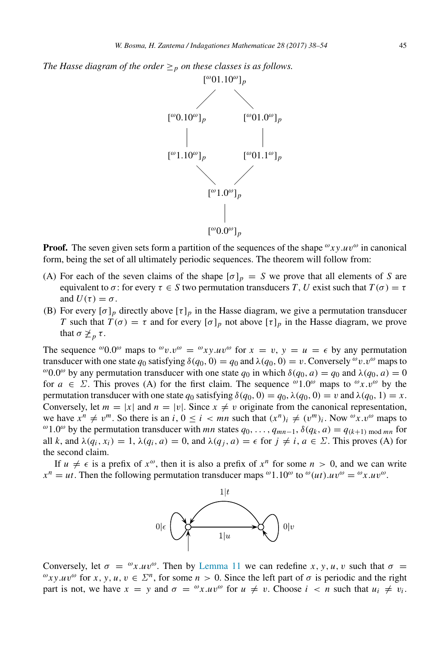*The Hasse diagram of the order*  $\geq_p$  *on these classes is as follows.* 



**Proof.** The seven given sets form a partition of the sequences of the shape  $\omega_{xy}.uv^{\omega}$  in canonical form, being the set of all ultimately periodic sequences. The theorem will follow from:

- (A) For each of the seven claims of the shape  $[\sigma]_p = S$  we prove that all elements of *S* are equivalent to  $\sigma$ : for every  $\tau \in S$  two permutation transducers *T*, *U* exist such that  $T(\sigma) = \tau$ and  $U(\tau) = \sigma$ .
- (B) For every  $[\sigma]_p$  directly above  $[\tau]_p$  in the Hasse diagram, we give a permutation transducer *T* such that  $T(\sigma) = \tau$  and for every  $[\sigma]_p$  not above  $[\tau]_p$  in the Hasse diagram, we prove that  $\sigma \not\geq_p \tau$ .

The sequence  $\omega_{0.0}$  maps to  $\omega_{v}$ .  $v^{\omega} = \omega_{xy} u v^{\omega}$  for  $x = v$ ,  $y = u = \epsilon$  by any permutation transducer with one state  $q_0$  satisfying  $\delta(q_0, 0) = q_0$  and  $\lambda(q_0, 0) = v$ . Conversely  $\omega v \cdot v^\omega$  maps to <sup>ω</sup>0.0<sup>ω</sup> by any permutation transducer with one state  $q_0$  in which  $\delta(q_0, a) = q_0$  and  $\lambda(q_0, a) = 0$ for  $a \in \Sigma$ . This proves (A) for the first claim. The sequence  $\omega_{1,0}$  maps to  $\omega_{x,v}$  by the permutation transducer with one state  $q_0$  satisfying  $\delta(q_0, 0) = q_0, \lambda(q_0, 0) = v$  and  $\lambda(q_0, 1) = x$ . Conversely, let  $m = |x|$  and  $n = |v|$ . Since  $x \neq v$  originate from the canonical representation, we have  $x^n \neq v^m$ . So there is an *i*,  $0 \leq i < mn$  such that  $(x^n)_i \neq (v^m)_i$ . Now  $\omega x . v^{\omega}$  maps to <sup>ω</sup> 1.0<sup>ω</sup> by the permutation transducer with *mn* states  $q_0$ , ...,  $q_{mn-1}$ ,  $\delta(q_k, a) = q_{(k+1) \text{ mod } mn}$  for all *k*, and  $\lambda(q_i, x_i) = 1$ ,  $\lambda(q_i, a) = 0$ , and  $\lambda(q_i, a) = \epsilon$  for  $j \neq i$ ,  $a \in \Sigma$ . This proves (A) for the second claim.

If  $u \neq \epsilon$  is a prefix of  $x^{\omega}$ , then it is also a prefix of  $x^{n}$  for some  $n > 0$ , and we can write  $x^n = ut$ . Then the following permutation transducer maps <sup>ω</sup>1.10<sup>ω</sup> to <sup>ω</sup>(*ut*).*uv*<sup>ω</sup> = <sup>ω</sup>*x*.*uv*<sup>ω</sup>.



Conversely, let  $\sigma = \omega x.uv^{\omega}$ . Then by [Lemma 11](#page-6-1) we can redefine *x*, *y*, *u*, *v* such that  $\sigma =$  $\omega_{xy}.uv^{\omega}$  for *x*, *y*, *u*,  $v \in \Sigma^{n}$ , for some  $n > 0$ . Since the left part of  $\sigma$  is periodic and the right part is not, we have  $x = y$  and  $\sigma = \omega x.uv^{\omega}$  for  $u \neq v$ . Choose  $i < n$  such that  $u_i \neq v_i$ .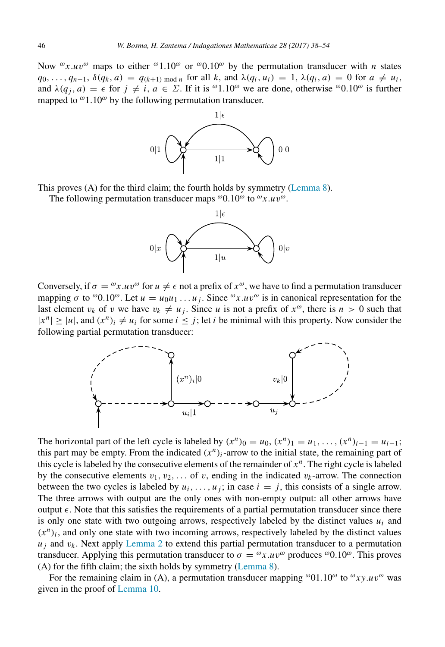Now  $\alpha x.uv^{\omega}$  maps to either  $\alpha$ 1.10 $\omega$  or  $\alpha$ 0.10 $\omega$  by the permutation transducer with *n* states  $q_0, \ldots, q_{n-1}, \delta(q_k, a) = q_{(k+1) \bmod n}$  for all k, and  $\lambda(q_i, u_i) = 1, \lambda(q_i, a) = 0$  for  $a \neq u_i$ , and  $\lambda(q_i, a) = \epsilon$  for  $j \neq i, a \in \Sigma$ . If it is  $\omega_{1,10}$  we are done, otherwise  $\omega_{0,10}$  is further mapped to  $\omega$ 1.10 $\omega$  by the following permutation transducer.



This proves (A) for the third claim; the fourth holds by symmetry [\(Lemma 8\)](#page-5-0).

The following permutation transducer maps  $\omega$ 0.10 $\omega$  to  $\omega$ *x.uv* $\omega$ .



Conversely, if  $\sigma = \omega x.uv^{\omega}$  for  $u \neq \epsilon$  not a prefix of  $x^{\omega}$ , we have to find a permutation transducer mapping  $\sigma$  to  $\omega$ 0.10 $\omega$ . Let  $u = u_0u_1 \dots u_j$ . Since  $\omega x.uv^{\omega}$  is in canonical representation for the last element  $v_k$  of v we have  $v_k \neq u_j$ . Since *u* is not a prefix of  $x^{\omega}$ , there is  $n > 0$  such that  $|x^n| \ge |u|$ , and  $(x^n)_i \neq u_i$  for some  $i \le j$ ; let *i* be minimal with this property. Now consider the following partial permutation transducer:



The horizontal part of the left cycle is labeled by  $(x^n)_0 = u_0, (x^n)_1 = u_1, \ldots, (x^n)_{i-1} = u_{i-1}$ ; this part may be empty. From the indicated  $(x^n)_i$ -arrow to the initial state, the remaining part of this cycle is labeled by the consecutive elements of the remainder of  $x^n$ . The right cycle is labeled by the consecutive elements  $v_1, v_2, \ldots$  of v, ending in the indicated  $v_k$ -arrow. The connection between the two cycles is labeled by  $u_i, \ldots, u_j$ ; in case  $i = j$ , this consists of a single arrow. The three arrows with output are the only ones with non-empty output: all other arrows have output  $\epsilon$ . Note that this satisfies the requirements of a partial permutation transducer since there is only one state with two outgoing arrows, respectively labeled by the distinct values  $u_i$  and  $(x^n)_i$ , and only one state with two incoming arrows, respectively labeled by the distinct values  $u_i$  and  $v_k$ . Next apply [Lemma 2](#page-2-0) to extend this partial permutation transducer to a permutation transducer. Applying this permutation transducer to  $\sigma = \alpha x.uv^{\omega}$  produces  $\alpha$ , This proves (A) for the fifth claim; the sixth holds by symmetry [\(Lemma 8\)](#page-5-0).

For the remaining claim in (A), a permutation transducer mapping  $\omega$ 01.10 $\omega$  to  $\omega_{xy}.uv^{\omega}$  was given in the proof of [Lemma 10.](#page-6-2)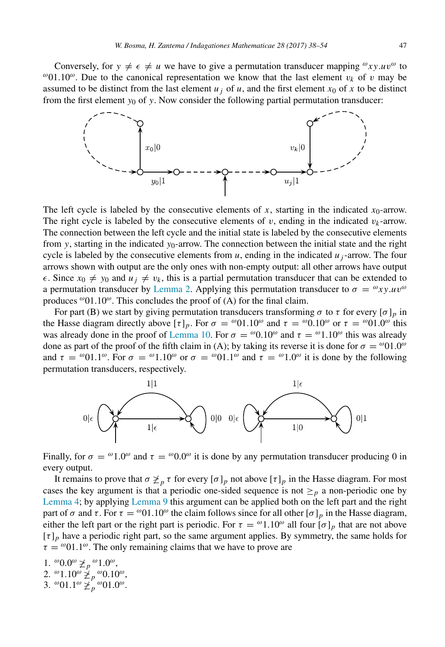Conversely, for  $y \neq \epsilon \neq u$  we have to give a permutation transducer mapping  $\omega_{xy}.uv^{\omega}$  to <sup>ω</sup>01.10<sup>ω</sup>. Due to the canonical representation we know that the last element  $v_k$  of v may be assumed to be distinct from the last element  $u_j$  of  $u$ , and the first element  $x_0$  of  $x$  to be distinct from the first element *y*<sup>0</sup> of *y*. Now consider the following partial permutation transducer:



The left cycle is labeled by the consecutive elements of  $x$ , starting in the indicated  $x_0$ -arrow. The right cycle is labeled by the consecutive elements of  $v$ , ending in the indicated  $v_k$ -arrow. The connection between the left cycle and the initial state is labeled by the consecutive elements from *y*, starting in the indicated  $y_0$ -arrow. The connection between the initial state and the right cycle is labeled by the consecutive elements from  $u$ , ending in the indicated  $u_i$ -arrow. The four arrows shown with output are the only ones with non-empty output: all other arrows have output  $\epsilon$ . Since  $x_0 \neq y_0$  and  $u_j \neq v_k$ , this is a partial permutation transducer that can be extended to a permutation transducer by [Lemma 2.](#page-2-0) Applying this permutation transducer to  $\sigma = \omega_{xy}.uv^{\omega}$ produces  $^{\omega}01.10^{\omega}$ . This concludes the proof of (A) for the final claim.

For part (B) we start by giving permutation transducers transforming  $\sigma$  to  $\tau$  for every  $[\sigma]_p$  in the Hasse diagram directly above  $[\tau]_p$ . For  $\sigma = \omega 01.10^\omega$  and  $\tau = \omega 0.10^\omega$  or  $\tau = \omega 01.0^\omega$  this was already done in the proof of [Lemma 10.](#page-6-2) For  $\sigma = \omega_{0.10}$  and  $\tau = \omega_{1.10}$  this was already done as part of the proof of the fifth claim in (A); by taking its reverse it is done for  $\sigma = \omega 01.0^{\omega}$ and  $\tau = \omega 01.1^{\omega}$ . For  $\sigma = \omega 1.10^{\omega}$  or  $\sigma = \omega 01.1^{\omega}$  and  $\tau = \omega 1.0^{\omega}$  it is done by the following permutation transducers, respectively.



Finally, for  $\sigma = \omega_{1,0}$  and  $\tau = \omega_{0,0}$  it is done by any permutation transducer producing 0 in every output.

It remains to prove that  $\sigma \not\geq_p \tau$  for every  $[\sigma]_p$  not above  $[\tau]_p$  in the Hasse diagram. For most cases the key argument is that a periodic one-sided sequence is not  $\geq_p$  a non-periodic one by [Lemma 4;](#page-3-0) by applying [Lemma 9](#page-5-1) this argument can be applied both on the left part and the right part of  $\sigma$  and  $\tau$ . For  $\tau = \omega 01.10^{\omega}$  the claim follows since for all other  $[\sigma]_p$  in the Hasse diagram, either the left part or the right part is periodic. For  $\tau = \omega_{1.10}$  all four  $[\sigma]_p$  that are not above  $[\tau]_p$  have a periodic right part, so the same argument applies. By symmetry, the same holds for  $\tau = \omega_{01.1}$ . The only remaining claims that we have to prove are

1.  $^{\omega}0.0^{\omega} \not\geq_{p}^{\omega}1.0^{\omega}$ , 2. <sup>ω</sup>1.10<sup>ω</sup> $\sum_{p}^{\infty} p^{\omega} 0.10^{\omega}$ , 3.  $\omega$ 01.1 $\omega \not\geq p \omega$ 01.0 $\omega$ .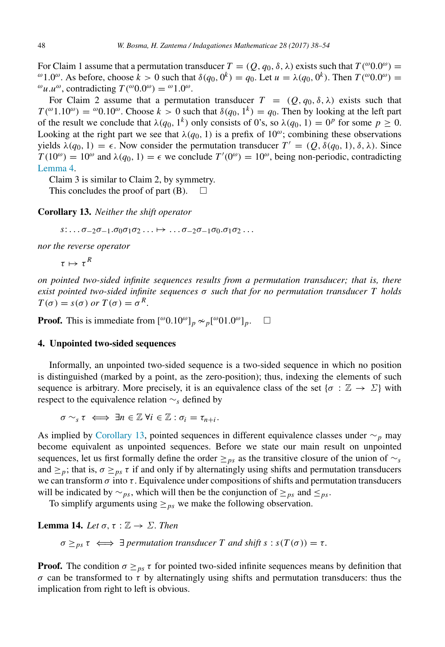For Claim 1 assume that a permutation transducer  $T = (Q, q_0, \delta, \lambda)$  exists such that  $T({}^{\omega}0.0^{\omega}) =$ <sup>ω</sup>1.0<sup>ω</sup>. As before, choose  $k > 0$  such that  $\delta(q_0, 0^k) = q_0$ . Let  $u = \lambda(q_0, 0^k)$ . Then  $T({}^{\omega}0.0^{\omega}) =$  $^{\omega}$ *u*.*u*<sup> $\omega$ </sup>, contradicting  $T(^{\omega}0.0^{\omega}) = \frac{\omega}{1.0^{\omega}}$ .

For Claim 2 assume that a permutation transducer  $T = (Q, q_0, \delta, \lambda)$  exists such that  $T({}^{\omega}1.10^{\omega}) = {}^{\omega}0.10^{\omega}$ . Choose  $k > 0$  such that  $\delta(q_0, 1^k) = q_0$ . Then by looking at the left part of the result we conclude that  $\lambda(q_0, 1^k)$  only consists of 0's, so  $\lambda(q_0, 1) = 0^p$  for some  $p \ge 0$ . Looking at the right part we see that  $\lambda(q_0, 1)$  is a prefix of  $10^{\omega}$ ; combining these observations yields  $\lambda(q_0, 1) = \epsilon$ . Now consider the permutation transducer  $T' = (Q, \delta(q_0, 1), \delta, \lambda)$ . Since  $T(10^{\omega}) = 10^{\omega}$  and  $\lambda(q_0, 1) = \epsilon$  we conclude  $T'(0^{\omega}) = 10^{\omega}$ , being non-periodic, contradicting [Lemma 4.](#page-3-0)

Claim 3 is similar to Claim 2, by symmetry.

This concludes the proof of part  $(B)$ .  $\Box$ 

Corollary 13. *Neither the shift operator*

<span id="page-10-1"></span> $s: \ldots \sigma_{-2}\sigma_{-1}.\sigma_0\sigma_1\sigma_2\ldots \mapsto \ldots \sigma_{-2}\sigma_{-1}\sigma_0.\sigma_1\sigma_2\ldots$ 

*nor the reverse operator*

 $\tau \mapsto \tau^R$ 

*on pointed two-sided infinite sequences results from a permutation transducer; that is, there exist pointed two-sided infinite sequences* σ *such that for no permutation transducer T holds*  $T(\sigma) = s(\sigma)$  *or*  $T(\sigma) = \sigma^R$ .

**Proof.** This is immediate from  $[{}^{\omega}0.10^{\omega}]_p \sim_p [{}^{\omega}01.0^{\omega}]_p$ .  $\square$ 

### <span id="page-10-0"></span>4. Unpointed two-sided sequences

Informally, an unpointed two-sided sequence is a two-sided sequence in which no position is distinguished (marked by a point, as the zero-position); thus, indexing the elements of such sequence is arbitrary. More precisely, it is an equivalence class of the set { $\sigma : \mathbb{Z} \to \Sigma$ } with respect to the equivalence relation ∼*<sup>s</sup>* defined by

 $\sigma \sim_{s} \tau \iff \exists n \in \mathbb{Z} \ \forall i \in \mathbb{Z} : \sigma_{i} = \tau_{n+i}.$ 

As implied by [Corollary 13,](#page-10-1) pointed sequences in different equivalence classes under ∼*<sup>p</sup>* may become equivalent as unpointed sequences. Before we state our main result on unpointed sequences, let us first formally define the order ≥*ps* as the transitive closure of the union of ∼*<sup>s</sup>* and  $\geq p_i$ ; that is,  $\sigma \geq_{ps} \tau$  if and only if by alternatingly using shifts and permutation transducers we can transform  $\sigma$  into  $\tau$ . Equivalence under compositions of shifts and permutation transducers will be indicated by  $\sim_{ps}$ , which will then be the conjunction of  $\geq_{ps}$  and  $\leq_{ps}$ .

To simplify arguments using  $\geq_{ps}$  we make the following observation.

Lemma 14. *Let*  $\sigma$ ,  $\tau : \mathbb{Z} \to \Sigma$ *. Then* 

 $\sigma \geq_{ps} \tau \iff \exists$  permutation transducer T and shift  $s : s(T(\sigma)) = \tau$ .

**Proof.** The condition  $\sigma \geq_{ps} \tau$  for pointed two-sided infinite sequences means by definition that σ can be transformed to τ by alternatingly using shifts and permutation transducers: thus the implication from right to left is obvious.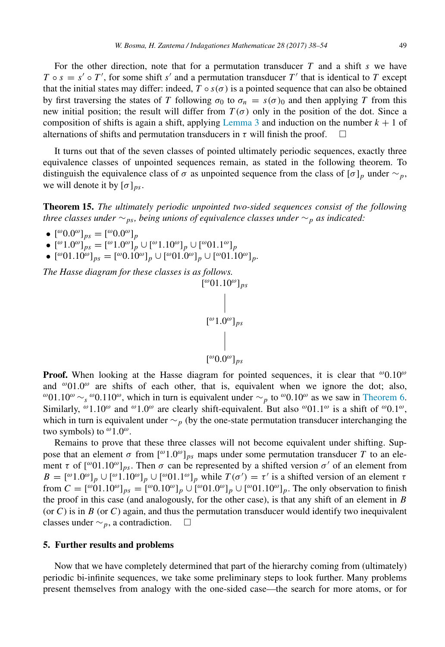For the other direction, note that for a permutation transducer *T* and a shift *s* we have  $T \circ s = s' \circ T'$ , for some shift *s'* and a permutation transducer  $T'$  that is identical to  $T$  except that the initial states may differ: indeed,  $T \circ s(\sigma)$  is a pointed sequence that can also be obtained by first traversing the states of *T* following  $\sigma_0$  to  $\sigma_n = s(\sigma)_0$  and then applying *T* from this new initial position; the result will differ from  $T(\sigma)$  only in the position of the dot. Since a composition of shifts is again a shift, applying [Lemma 3](#page-3-1) and induction on the number  $k + 1$  of alternations of shifts and permutation transducers in  $\tau$  will finish the proof.  $\Box$ 

It turns out that of the seven classes of pointed ultimately periodic sequences, exactly three equivalence classes of unpointed sequences remain, as stated in the following theorem. To distinguish the equivalence class of  $\sigma$  as unpointed sequence from the class of  $[\sigma]_p$  under  $\sim_p$ , we will denote it by  $[\sigma]_{ps}$ .

Theorem 15. *The ultimately periodic unpointed two-sided sequences consist of the following three classes under* ∼*ps, being unions of equivalence classes under* ∼*<sup>p</sup> as indicated:*

- $[{}^{\omega}0.0{}^{\omega}]_{ps} = [{}^{\omega}0.0{}^{\omega}]_{p}$
- $\bullet$  [<sup>ω</sup> 1.0<sup>ω</sup>]<sub>*ps*</sub> = [<sup>ω</sup> 1.0<sup>ω</sup>]<sub>*p*</sub> ∪ [<sup>ω</sup> 1.10<sup>ω</sup>]<sub>*p*</sub> ∪ [<sup>ω</sup> 01.1<sup>ω</sup>]<sub>*p*</sub>
- $[^{\omega}01.10^{\omega}]_{ps} = [^{\omega}0.10^{\omega}]_p \cup [^{\omega}01.0^{\omega}]_p \cup [^{\omega}01.10^{\omega}]_p.$

*The Hasse diagram for these classes is as follows.*

$$
\begin{bmatrix} \omega 01.10^\omega]_{ps} \\ | \\ \omega 1.0^\omega]_{ps} \\ | \\ \omega 0.0^\omega]_{ps} \end{bmatrix}
$$

**Proof.** When looking at the Hasse diagram for pointed sequences, it is clear that  $\omega_{0.10}\omega$ and  $^{\omega}01.0^{\omega}$  are shifts of each other, that is, equivalent when we ignore the dot; also, <sup>ω</sup>01.10<sup>ω</sup> ∼<sub>s</sub> <sup>ω</sup>0.110<sup>ω</sup>, which in turn is equivalent under ∼<sub>*p*</sub> to <sup>ω</sup>0.10<sup>ω</sup> as we saw in [Theorem 6.](#page-4-2) Similarly,  $^{\omega}1.10^{\omega}$  and  $^{\omega}1.0^{\omega}$  are clearly shift-equivalent. But also  $^{\omega}01.1^{\omega}$  is a shift of  $^{\omega}0.1^{\omega}$ , which in turn is equivalent under ∼*<sup>p</sup>* (by the one-state permutation transducer interchanging the two symbols) to  $^{\omega}1.0^{\omega}$ .

Remains to prove that these three classes will not become equivalent under shifting. Suppose that an element  $\sigma$  from  $\binom{100}{9}$ <sub>ps</sub> maps under some permutation transducer *T* to an element  $\tau$  of  $[°01.10°]_{ps}$ . Then  $\sigma$  can be represented by a shifted version  $\sigma'$  of an element from  $B = [$ <sup>ω</sup> $1.0$ <sup>ω</sup> $]_p \cup [$ <sup>ω</sup> $1.10$ <sup>ω</sup> $]_p \cup [$ <sup>ω</sup> $01.1$ <sup>ω</sup> $]_p$  while  $T(\sigma') = \tau'$  is a shifted version of an element  $\tau$ from  $C = [^{\omega}01.10^{\omega}]_{ps} = [^{\omega}0.10^{\omega}]_p \cup [^{\omega}01.0^{\omega}]_p \cup [^{\omega}01.10^{\omega}]_p$ . The only observation to finish the proof in this case (and analogously, for the other case), is that any shift of an element in *B* (or  $C$ ) is in  $B$  (or  $C$ ) again, and thus the permutation transducer would identify two inequivalent classes under ∼*p*, a contradiction.

#### <span id="page-11-0"></span>5. Further results and problems

Now that we have completely determined that part of the hierarchy coming from (ultimately) periodic bi-infinite sequences, we take some preliminary steps to look further. Many problems present themselves from analogy with the one-sided case—the search for more atoms, or for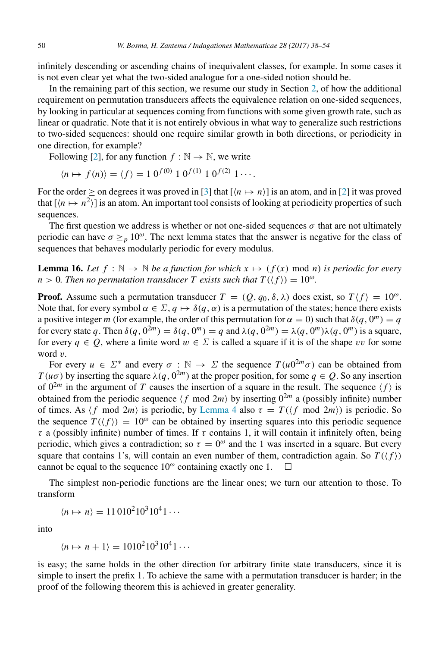infinitely descending or ascending chains of inequivalent classes, for example. In some cases it is not even clear yet what the two-sided analogue for a one-sided notion should be.

In the remaining part of this section, we resume our study in Section [2,](#page-1-0) of how the additional requirement on permutation transducers affects the equivalence relation on one-sided sequences, by looking in particular at sequences coming from functions with some given growth rate, such as linear or quadratic. Note that it is not entirely obvious in what way to generalize such restrictions to two-sided sequences: should one require similar growth in both directions, or periodicity in one direction, for example?

Following [\[2\]](#page-16-5), for any function  $f : \mathbb{N} \to \mathbb{N}$ , we write

$$
\langle n \mapsto f(n) \rangle = \langle f \rangle = 1 \ 0^{f(0)} \ 1 \ 0^{f(1)} \ 1 \ 0^{f(2)} \ 1 \cdots.
$$

For the order  $\geq$  on degrees it was proved in [\[3\]](#page-16-0) that  $[(n \mapsto n)]$  is an atom, and in [\[2\]](#page-16-5) it was proved that  $[\langle n \mapsto n^2 \rangle]$  is an atom. An important tool consists of looking at periodicity properties of such sequences.

The first question we address is whether or not one-sided sequences  $\sigma$  that are not ultimately periodic can have  $\sigma \geq_{p} 10^{\omega}$ . The next lemma states that the answer is negative for the class of sequences that behaves modularly periodic for every modulus.

**Lemma 16.** Let  $f : \mathbb{N} \to \mathbb{N}$  be a function for which  $x \mapsto (f(x) \mod n)$  is periodic for every  $n > 0$ . Then no permutation transducer T exists such that  $T(\langle f \rangle) = 10^{\omega}$ .

**Proof.** Assume such a permutation transducer  $T = (Q, q_0, \delta, \lambda)$  does exist, so  $T \langle f \rangle = 10^\omega$ . Note that, for every symbol  $\alpha \in \Sigma$ ,  $q \mapsto \delta(q, \alpha)$  is a permutation of the states; hence there exists a positive integer *m* (for example, the order of this permutation for  $\alpha = 0$ ) such that  $\delta(q, 0^m) = q$ for every state q. Then  $\delta(q, 0^{2m}) = \delta(q, 0^m) = q$  and  $\lambda(q, 0^{2m}) = \lambda(q, 0^m) \lambda(q, 0^m)$  is a square, for every  $q \in Q$ , where a finite word  $w \in \Sigma$  is called a square if it is of the shape vv for some word v.

For every  $u \in \Sigma^*$  and every  $\sigma : \mathbb{N} \to \Sigma$  the sequence  $T(u0^{2m}\sigma)$  can be obtained from *T*(*u* $\sigma$ ) by inserting the square  $\lambda(q, 0^{2m})$  at the proper position, for some  $q \in Q$ . So any insertion of  $0^{2m}$  in the argument of *T* causes the insertion of a square in the result. The sequence  $\langle f \rangle$  is obtained from the periodic sequence  $\langle f \bmod 2m \rangle$  by inserting  $0^{2m}$  a (possibly infinite) number of times. As  $\langle f \mod 2m \rangle$  is periodic, by [Lemma 4](#page-3-0) also  $\tau = T(\langle f \mod 2m \rangle)$  is periodic. So the sequence  $T(\langle f \rangle) = 10^{\omega}$  can be obtained by inserting squares into this periodic sequence  $\tau$  a (possibly infinite) number of times. If  $\tau$  contains 1, it will contain it infinitely often, being periodic, which gives a contradiction; so  $\tau = 0^\omega$  and the 1 was inserted in a square. But every square that contains 1's, will contain an even number of them, contradiction again. So  $T(\langle f \rangle)$ cannot be equal to the sequence  $10^{\omega}$  containing exactly one 1.  $\Box$ 

The simplest non-periodic functions are the linear ones; we turn our attention to those. To transform

$$
\langle n \mapsto n \rangle = 11\,010^210^310^41\cdots
$$

into

$$
\langle n \mapsto n+1 \rangle = 1010^2 10^3 10^4 1 \cdots
$$

is easy; the same holds in the other direction for arbitrary finite state transducers, since it is simple to insert the prefix 1. To achieve the same with a permutation transducer is harder; in the proof of the following theorem this is achieved in greater generality.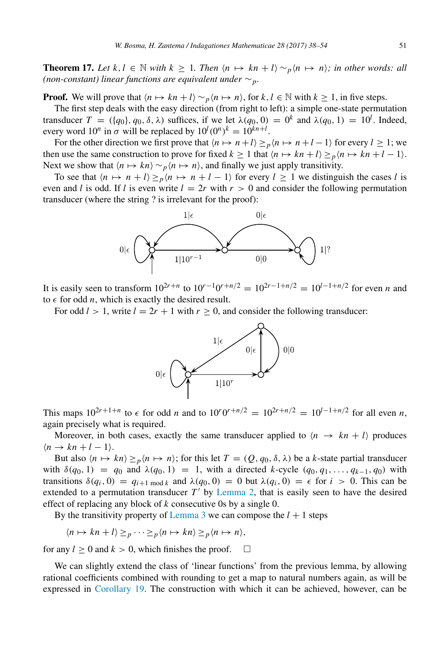<span id="page-13-0"></span>**Theorem 17.** Let  $k, l \in \mathbb{N}$  with  $k \geq 1$ . Then  $\langle n \mapsto kn+l \rangle \sim_p \langle n \mapsto n \rangle$ ; in other words: all *(non-constant) linear functions are equivalent under* ∼*p.*

**Proof.** We will prove that  $\langle n \mapsto kn+l \rangle \sim_p \langle n \mapsto n \rangle$ , for  $k, l \in \mathbb{N}$  with  $k \geq 1$ , in five steps.

The first step deals with the easy direction (from right to left): a simple one-state permutation transducer  $T = (\{q_0\}, q_0, \delta, \lambda)$  suffices, if we let  $\lambda(q_0, 0) = 0^k$  and  $\lambda(q_0, 1) = 10^l$ . Indeed, every word  $10^n$  in  $\sigma$  will be replaced by  $10^l (0^n)^k = 10^{kn+l}$ .

For the other direction we first prove that  $\langle n \mapsto n+l \rangle \geq p \langle n \mapsto n+l-1 \rangle$  for every  $l \geq 1$ ; we then use the same construction to prove for fixed  $k \ge 1$  that  $\langle n \mapsto kn+l \rangle \ge p \langle n \mapsto kn+l-1 \rangle$ . Next we show that  $\langle n \mapsto kn \rangle \sim_p \langle n \mapsto n \rangle$ , and finally we just apply transitivity.

To see that  $\langle n \mapsto n+l \rangle \geq p \langle n \mapsto n+l-1 \rangle$  for every  $l \geq 1$  we distinguish the cases *l* is even and *l* is odd. If *l* is even write  $l = 2r$  with  $r > 0$  and consider the following permutation transducer (where the string ? is irrelevant for the proof):



It is easily seen to transform  $10^{2r+n}$  to  $10^{r-1}0^{r+n/2} = 10^{2r-1+n/2} = 10^{l-1+n/2}$  for even *n* and to  $\epsilon$  for odd *n*, which is exactly the desired result.

For odd  $l > 1$ , write  $l = 2r + 1$  with  $r \ge 0$ , and consider the following transducer:



This maps  $10^{2r+1+n}$  to  $\epsilon$  for odd *n* and to  $10^r 0^{r+n/2} = 10^{2r+n/2} = 10^{l-1+n/2}$  for all even *n*, again precisely what is required.

Moreover, in both cases, exactly the same transducer applied to  $\langle n \rangle \rightarrow k n + l$  produces  $\langle n \rightarrow kn+l-1 \rangle$ .

But also  $\langle n \mapsto kn \rangle \geq p \langle n \mapsto n \rangle$ ; for this let  $T = (Q, q_0, \delta, \lambda)$  be a *k*-state partial transducer with  $\delta(q_0, 1) = q_0$  and  $\lambda(q_0, 1) = 1$ , with a directed *k*-cycle  $(q_0, q_1, \ldots, q_{k-1}, q_0)$  with transitions  $\delta(q_i, 0) = q_{i+1 \mod k}$  and  $\lambda(q_0, 0) = 0$  but  $\lambda(q_i, 0) = \epsilon$  for  $i > 0$ . This can be extended to a permutation transducer  $T'$  by [Lemma 2,](#page-2-0) that is easily seen to have the desired effect of replacing any block of *k* consecutive 0s by a single 0.

By the transitivity property of [Lemma 3](#page-3-1) we can compose the  $l + 1$  steps

 $\langle n \mapsto kn+l \rangle >_n \cdots >_n \langle n \mapsto kn \rangle >_n \langle n \mapsto n \rangle$ ,

for any  $l \geq 0$  and  $k > 0$ , which finishes the proof.  $\square$ 

We can slightly extend the class of 'linear functions' from the previous lemma, by allowing rational coefficients combined with rounding to get a map to natural numbers again, as will be expressed in [Corollary 19.](#page-14-0) The construction with which it can be achieved, however, can be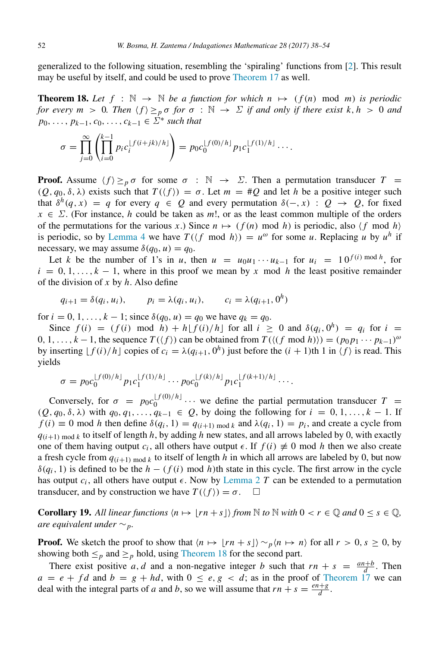generalized to the following situation, resembling the 'spiraling' functions from [\[2\]](#page-16-5). This result may be useful by itself, and could be used to prove [Theorem 17](#page-13-0) as well.

<span id="page-14-1"></span>**Theorem 18.** Let  $f : \mathbb{N} \to \mathbb{N}$  be a function for which  $n \mapsto (f(n) \mod m)$  is periodic *for every m* > 0. Then  $\langle f \rangle \geq_{p} \sigma$  *for*  $\sigma : \mathbb{N} \to \Sigma$  *if and only if there exist* k, *h* > 0 *and p*<sub>0</sub>, ..., *p*<sub>*k*−1</sub>, *c*<sub>0</sub>, ..., *c*<sub>*k*−1</sub> ∈  $\dot{\Sigma}^*$  *such that* 

$$
\sigma = \prod_{j=0}^{\infty} \left( \prod_{i=0}^{k-1} p_i c_i^{[f(i+jk)/h]} \right) = p_0 c_0^{[f(0)/h]} p_1 c_1^{[f(1)/h]} \cdots
$$

**Proof.** Assume  $\langle f \rangle \geq_{p} \sigma$  for some  $\sigma : \mathbb{N} \to \Sigma$ . Then a permutation transducer  $T =$  $(Q, q_0, \delta, \lambda)$  exists such that  $T(\langle f \rangle) = \sigma$ . Let  $m = #Q$  and let *h* be a positive integer such that  $\delta^h(q, x) = q$  for every  $q \in Q$  and every permutation  $\delta(-, x) : Q \to Q$ , for fixed  $x \in \Sigma$ . (For instance, *h* could be taken as *m*!, or as the least common multiple of the orders of the permutations for the various *x*.) Since  $n \mapsto (f(n) \text{ mod } h)$  is periodic, also  $\langle f \text{ mod } h \rangle$ is periodic, so by [Lemma 4](#page-3-0) we have  $T(\langle f \mod h \rangle) = u^{\omega}$  for some *u*. Replacing *u* by  $u^h$  if necessary, we may assume  $\delta(q_0, u) = q_0$ .

Let *k* be the number of 1's in *u*, then  $u = u_0u_1 \cdots u_{k-1}$  for  $u_i = 10^{f(i) \mod h}$ , for  $i = 0, 1, \ldots, k - 1$ , where in this proof we mean by x mod h the least positive remainder of the division of *x* by *h*. Also define

$$
q_{i+1} = \delta(q_i, u_i),
$$
  $p_i = \lambda(q_i, u_i),$   $c_i = \lambda(q_{i+1}, 0^h)$ 

for  $i = 0, 1, ..., k - 1$ ; since  $\delta(q_0, u) = q_0$  we have  $q_k = q_0$ .

Since  $f(i) = (f(i) \mod h) + h[f(i)/h]$  for all  $i \ge 0$  and  $\delta(q_i, 0^h) = q_i$  for  $i =$ 0, 1, ...,  $k - 1$ , the sequence  $T(\langle f \rangle)$  can be obtained from  $T(\langle (f \mod h \rangle)) = (p_0 p_1 \cdots p_{k-1})^{\omega}$ by inserting  $\lfloor f(i)/h \rfloor$  copies of  $c_i = \lambda(q_{i+1}, 0^h)$  just before the  $(i + 1)$ th 1 in  $\langle f \rangle$  is read. This yields

$$
\sigma = p_0 c_0^{\lfloor f(0)/h \rfloor} p_1 c_1^{\lfloor f(1)/h \rfloor} \cdots p_0 c_0^{\lfloor f(k)/h \rfloor} p_1 c_1^{\lfloor f(k+1)/h \rfloor} \cdots.
$$

Conversely, for  $\sigma = p_0 c_0^{\lfloor f(0)/h \rfloor}$  $\begin{bmatrix} 0 \end{bmatrix}$  (0)/ $\begin{bmatrix} n \end{bmatrix}$  ... we define the partial permutation transducer  $T =$  $(Q, q_0, \delta, \lambda)$  with  $q_0, q_1, \ldots, q_{k-1} \in Q$ , by doing the following for  $i = 0, 1, \ldots, k-1$ . If  $f(i) \equiv 0 \text{ mod } h$  then define  $\delta(q_i, 1) = q_{(i+1) \text{ mod } k}$  and  $\lambda(q_i, 1) = p_i$ , and create a cycle from  $q(i+1)$  mod *k* to itself of length *h*, by adding *h* new states, and all arrows labeled by 0, with exactly one of them having output  $c_i$ , all others have output  $\epsilon$ . If  $f(i) \neq 0$  mod *h* then we also create a fresh cycle from  $q(i+1)$  mod *k* to itself of length *h* in which all arrows are labeled by 0, but now  $\delta(q_i, 1)$  is defined to be the *h* − ( $f(i)$  mod *h*)th state in this cycle. The first arrow in the cycle has output  $c_i$ , all others have output  $\epsilon$ . Now by [Lemma 2](#page-2-0) *T* can be extended to a permutation transducer, and by construction we have  $T(\langle f \rangle) = \sigma$ .  $\Box$ 

<span id="page-14-0"></span>**Corollary 19.** All linear functions  $\langle n \mapsto [rn + s] \rangle$  from  $\mathbb N$  to  $\mathbb N$  with  $0 < r \in \mathbb Q$  and  $0 \le s \in \mathbb Q$ , *are equivalent under* ∼*p.*

**Proof.** We sketch the proof to show that  $\langle n \mapsto |rn + s| \rangle \sim_p \langle n \mapsto n \rangle$  for all  $r > 0$ ,  $s \ge 0$ , by showing both  $\leq_p$  and  $\geq_p$  hold, using [Theorem 18](#page-14-1) for the second part.

There exist positive *a*, *d* and a non-negative integer *b* such that  $rn + s = \frac{an+b}{d}$ . Then  $a = e + fd$  and  $b = g + hd$ , with  $0 \le e, g < d$ ; as in the proof of [Theorem 17](#page-13-0) we can deal with the integral parts of *a* and *b*, so we will assume that  $rn + s = \frac{en + g}{d}$  $\frac{d+g}{d}$ .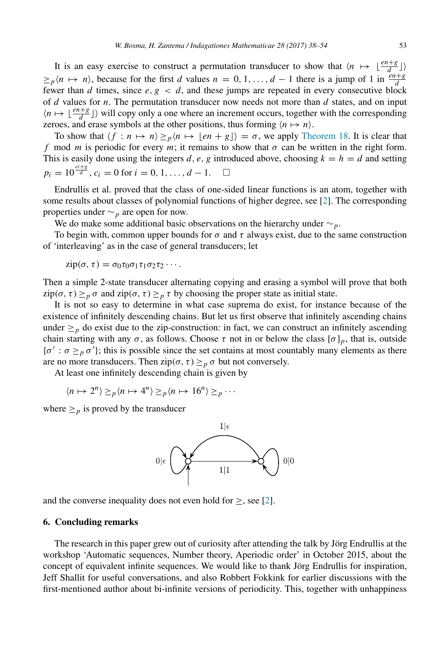It is an easy exercise to construct a permutation transducer to show that  $\langle n \mapsto \lfloor \frac{en+g}{d} \rfloor \rangle$  $\geq$ <sub>*p*</sub> $\langle n \mapsto n \rangle$ , because for the first *d* values  $n = 0, 1, \ldots, d - 1$  there is a jump of 1 in  $\frac{en+g}{d}$  $\frac{d}{dx}$  fewer than *d* times, since *e*, *g* < *d*, and these jumps are repeated in every consecutive block of *d* values for *n*. The permutation transducer now needs not more than *d* states, and on input  $\langle n \mapsto \lfloor \frac{en+g}{d} \rfloor \rangle$  will copy only a one where an increment occurs, together with the corresponding zeroes, and erase symbols at the other positions, thus forming  $\langle n \mapsto n \rangle$ .

To show that  $\langle f : n \mapsto n \rangle \geq_p \langle n \mapsto \lfloor en + g \rfloor \rangle = \sigma$ , we apply [Theorem 18.](#page-14-1) It is clear that *f* mod *m* is periodic for every *m*; it remains to show that  $\sigma$  can be written in the right form. This is easily done using the integers *d*, *e*, *g* introduced above, choosing  $k = h = d$  and setting  $p_i = 10^{\frac{ei+g}{d}}$ ,  $c_i = 0$  for  $i = 0, 1, ..., d - 1$ .  $\Box$ 

Endrullis et al. proved that the class of one-sided linear functions is an atom, together with some results about classes of polynomial functions of higher degree, see [\[2\]](#page-16-5). The corresponding properties under ∼*<sup>p</sup>* are open for now.

We do make some additional basic observations on the hierarchy under ∼*p*.

To begin with, common upper bounds for  $\sigma$  and  $\tau$  always exist, due to the same construction of 'interleaving' as in the case of general transducers; let

$$
zip(\sigma, \tau) = \sigma_0 \tau_0 \sigma_1 \tau_1 \sigma_2 \tau_2 \cdots.
$$

Then a simple 2-state transducer alternating copying and erasing a symbol will prove that both  $\min(\sigma, \tau) \geq p \sigma$  and  $\min(\sigma, \tau) \geq p \tau$  by choosing the proper state as initial state.

It is not so easy to determine in what case suprema do exist, for instance because of the existence of infinitely descending chains. But let us first observe that infinitely ascending chains under  $\geq$ <sub>p</sub> do exist due to the zip-construction: in fact, we can construct an infinitely ascending chain starting with any  $\sigma$ , as follows. Choose  $\tau$  not in or below the class  $[\sigma]_p$ , that is, outside  $\{\sigma': \sigma \geq_{p} \sigma'\};$  this is possible since the set contains at most countably many elements as there are no more transducers. Then  $\text{zip}(\sigma, \tau) \geq p \sigma$  but not conversely.

At least one infinitely descending chain is given by

$$
\langle n \mapsto 2^n \rangle \geq_p \langle n \mapsto 4^n \rangle \geq_p \langle n \mapsto 16^n \rangle \geq_p \cdots
$$

where  $\geq_p$  is proved by the transducer



and the converse inequality does not even hold for  $\geq$ , see [\[2\]](#page-16-5).

## 6. Concluding remarks

The research in this paper grew out of curiosity after attending the talk by Jörg Endrullis at the workshop 'Automatic sequences, Number theory, Aperiodic order' in October 2015, about the concept of equivalent infinite sequences. We would like to thank Jörg Endrullis for inspiration, Jeff Shallit for useful conversations, and also Robbert Fokkink for earlier discussions with the first-mentioned author about bi-infinite versions of periodicity. This, together with unhappiness